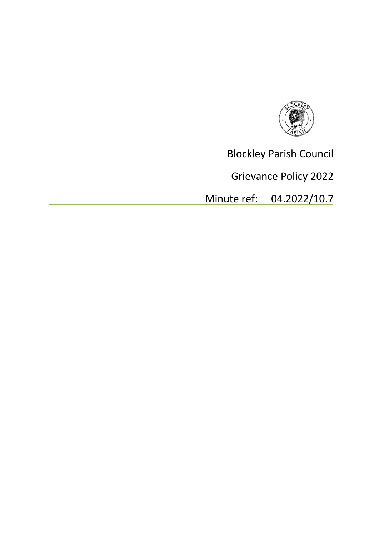

Blockley Parish Council

Grievance Policy 2022

Minute ref: 04.2022/10.7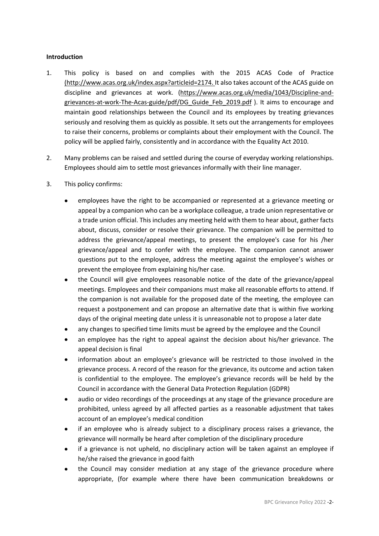#### **Introduction**

- 1. This policy is based on and complies with the 2015 ACAS Code of Practice (http://www.acas.org.uk/index.aspx?articleid=2174. It also takes account of the ACAS guide on discipline and grievances at work. (https://www.acas.org.uk/media/1043/Discipline-andgrievances-at-work-The-Acas-guide/pdf/DG\_Guide\_Feb\_2019.pdf ). It aims to encourage and maintain good relationships between the Council and its employees by treating grievances seriously and resolving them as quickly as possible. It sets out the arrangements for employees to raise their concerns, problems or complaints about their employment with the Council. The policy will be applied fairly, consistently and in accordance with the Equality Act 2010.
- 2. Many problems can be raised and settled during the course of everyday working relationships. Employees should aim to settle most grievances informally with their line manager.
- 3. This policy confirms:
	- employees have the right to be accompanied or represented at a grievance meeting or appeal by a companion who can be a workplace colleague, a trade union representative or a trade union official. This includes any meeting held with them to hear about, gather facts about, discuss, consider or resolve their grievance. The companion will be permitted to address the grievance/appeal meetings, to present the employee's case for his /her grievance/appeal and to confer with the employee. The companion cannot answer questions put to the employee, address the meeting against the employee's wishes or prevent the employee from explaining his/her case.
	- the Council will give employees reasonable notice of the date of the grievance/appeal meetings. Employees and their companions must make all reasonable efforts to attend. If the companion is not available for the proposed date of the meeting, the employee can request a postponement and can propose an alternative date that is within five working days of the original meeting date unless it is unreasonable not to propose a later date
	- any changes to specified time limits must be agreed by the employee and the Council
	- an employee has the right to appeal against the decision about his/her grievance. The appeal decision is final
	- information about an employee's grievance will be restricted to those involved in the grievance process. A record of the reason for the grievance, its outcome and action taken is confidential to the employee. The employee's grievance records will be held by the Council in accordance with the General Data Protection Regulation (GDPR)
	- audio or video recordings of the proceedings at any stage of the grievance procedure are prohibited, unless agreed by all affected parties as a reasonable adjustment that takes account of an employee's medical condition
	- if an employee who is already subject to a disciplinary process raises a grievance, the grievance will normally be heard after completion of the disciplinary procedure
	- if a grievance is not upheld, no disciplinary action will be taken against an employee if he/she raised the grievance in good faith
	- the Council may consider mediation at any stage of the grievance procedure where appropriate, (for example where there have been communication breakdowns or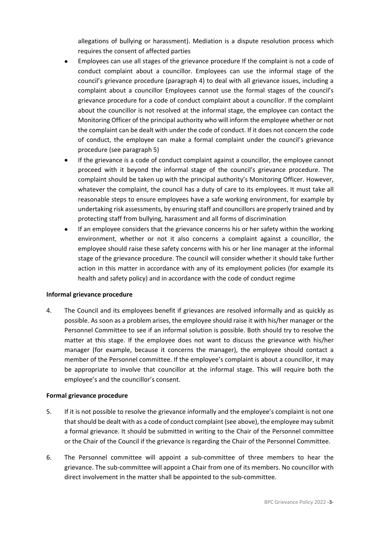allegations of bullying or harassment). Mediation is a dispute resolution process which requires the consent of affected parties

- Employees can use all stages of the grievance procedure If the complaint is not a code of conduct complaint about a councillor. Employees can use the informal stage of the council's grievance procedure (paragraph 4) to deal with all grievance issues, including a complaint about a councillor Employees cannot use the formal stages of the council's grievance procedure for a code of conduct complaint about a councillor. If the complaint about the councillor is not resolved at the informal stage, the employee can contact the Monitoring Officer of the principal authority who will inform the employee whether or not the complaint can be dealt with under the code of conduct. If it does not concern the code of conduct, the employee can make a formal complaint under the council's grievance procedure (see paragraph 5)
- If the grievance is a code of conduct complaint against a councillor, the employee cannot proceed with it beyond the informal stage of the council's grievance procedure. The complaint should be taken up with the principal authority's Monitoring Officer. However, whatever the complaint, the council has a duty of care to its employees. It must take all reasonable steps to ensure employees have a safe working environment, for example by undertaking risk assessments, by ensuring staff and councillors are properly trained and by protecting staff from bullying, harassment and all forms of discrimination
- If an employee considers that the grievance concerns his or her safety within the working environment, whether or not it also concerns a complaint against a councillor, the employee should raise these safety concerns with his or her line manager at the informal stage of the grievance procedure. The council will consider whether it should take further action in this matter in accordance with any of its employment policies (for example its health and safety policy) and in accordance with the code of conduct regime

#### **Informal grievance procedure**

4. The Council and its employees benefit if grievances are resolved informally and as quickly as possible. As soon as a problem arises, the employee should raise it with his/her manager or the Personnel Committee to see if an informal solution is possible. Both should try to resolve the matter at this stage. If the employee does not want to discuss the grievance with his/her manager (for example, because it concerns the manager), the employee should contact a member of the Personnel committee. If the employee's complaint is about a councillor, it may be appropriate to involve that councillor at the informal stage. This will require both the employee's and the councillor's consent.

#### **Formal grievance procedure**

- 5. If it is not possible to resolve the grievance informally and the employee's complaint is not one that should be dealt with as a code of conduct complaint (see above), the employee may submit a formal grievance. It should be submitted in writing to the Chair of the Personnel committee or the Chair of the Council if the grievance is regarding the Chair of the Personnel Committee.
- 6. The Personnel committee will appoint a sub-committee of three members to hear the grievance. The sub-committee will appoint a Chair from one of its members. No councillor with direct involvement in the matter shall be appointed to the sub-committee.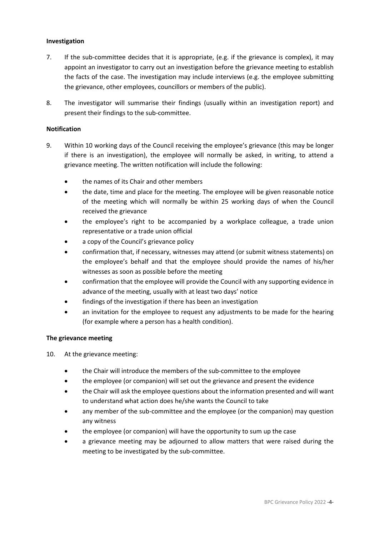#### **Investigation**

- 7. If the sub-committee decides that it is appropriate, (e.g. if the grievance is complex), it may appoint an investigator to carry out an investigation before the grievance meeting to establish the facts of the case. The investigation may include interviews (e.g. the employee submitting the grievance, other employees, councillors or members of the public).
- 8. The investigator will summarise their findings (usually within an investigation report) and present their findings to the sub-committee.

### **Notification**

- 9. Within 10 working days of the Council receiving the employee's grievance (this may be longer if there is an investigation), the employee will normally be asked, in writing, to attend a grievance meeting. The written notification will include the following:
	- the names of its Chair and other members
	- the date, time and place for the meeting. The employee will be given reasonable notice of the meeting which will normally be within 25 working days of when the Council received the grievance
	- the employee's right to be accompanied by a workplace colleague, a trade union representative or a trade union official
	- a copy of the Council's grievance policy
	- confirmation that, if necessary, witnesses may attend (or submit witness statements) on the employee's behalf and that the employee should provide the names of his/her witnesses as soon as possible before the meeting
	- confirmation that the employee will provide the Council with any supporting evidence in advance of the meeting, usually with at least two days' notice
	- findings of the investigation if there has been an investigation
	- an invitation for the employee to request any adjustments to be made for the hearing (for example where a person has a health condition).

# **The grievance meeting**

- 10. At the grievance meeting:
	- the Chair will introduce the members of the sub-committee to the employee
	- the employee (or companion) will set out the grievance and present the evidence
	- the Chair will ask the employee questions about the information presented and will want to understand what action does he/she wants the Council to take
	- any member of the sub-committee and the employee (or the companion) may question any witness
	- the employee (or companion) will have the opportunity to sum up the case
	- a grievance meeting may be adjourned to allow matters that were raised during the meeting to be investigated by the sub-committee.